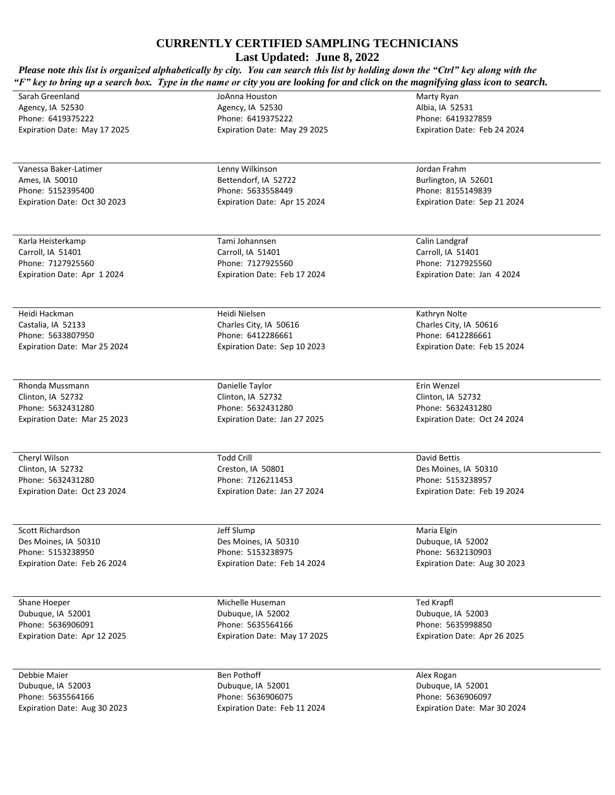## **CURRENTLY CERTIFIED SAMPLING TECHNICIANS**

**Last Updated: June 8, 2022**

| Please note this list is organized alphabetically by city. You can search this list by holding down the "Ctrl" key along with the<br>"F" key to bring up a search box. Type in the name or city you are looking for and click on the magnifying glass icon to search. |                              |                              |  |
|-----------------------------------------------------------------------------------------------------------------------------------------------------------------------------------------------------------------------------------------------------------------------|------------------------------|------------------------------|--|
| Sarah Greenland                                                                                                                                                                                                                                                       | JoAnna Houston               | Marty Ryan                   |  |
| Agency, IA 52530                                                                                                                                                                                                                                                      | Agency, IA 52530             | Albia, IA 52531              |  |
| Phone: 6419375222                                                                                                                                                                                                                                                     | Phone: 6419375222            | Phone: 6419327859            |  |
| Expiration Date: May 17 2025                                                                                                                                                                                                                                          | Expiration Date: May 29 2025 | Expiration Date: Feb 24 2024 |  |
|                                                                                                                                                                                                                                                                       |                              |                              |  |
| Vanessa Baker-Latimer                                                                                                                                                                                                                                                 | Lenny Wilkinson              | Jordan Frahm                 |  |
| Ames, IA 50010                                                                                                                                                                                                                                                        | Bettendorf, IA 52722         | Burlington, IA 52601         |  |
| Phone: 5152395400                                                                                                                                                                                                                                                     | Phone: 5633558449            | Phone: 8155149839            |  |
| Expiration Date: Oct 30 2023                                                                                                                                                                                                                                          | Expiration Date: Apr 15 2024 | Expiration Date: Sep 21 2024 |  |
| Karla Heisterkamp                                                                                                                                                                                                                                                     | Tami Johannsen               | Calin Landgraf               |  |
| Carroll, IA 51401                                                                                                                                                                                                                                                     | Carroll, IA 51401            | Carroll, IA 51401            |  |
| Phone: 7127925560                                                                                                                                                                                                                                                     | Phone: 7127925560            | Phone: 7127925560            |  |
| Expiration Date: Apr 1 2024                                                                                                                                                                                                                                           | Expiration Date: Feb 17 2024 | Expiration Date: Jan 4 2024  |  |
| Heidi Hackman                                                                                                                                                                                                                                                         | Heidi Nielsen                | Kathryn Nolte                |  |
| Castalia, IA 52133                                                                                                                                                                                                                                                    | Charles City, IA 50616       | Charles City, IA 50616       |  |
| Phone: 5633807950                                                                                                                                                                                                                                                     | Phone: 6412286661            | Phone: 6412286661            |  |
| Expiration Date: Mar 25 2024                                                                                                                                                                                                                                          | Expiration Date: Sep 10 2023 | Expiration Date: Feb 15 2024 |  |
| Rhonda Mussmann                                                                                                                                                                                                                                                       | Danielle Taylor              | Erin Wenzel                  |  |
| Clinton, IA 52732                                                                                                                                                                                                                                                     | Clinton, IA 52732            | Clinton, IA 52732            |  |
| Phone: 5632431280                                                                                                                                                                                                                                                     | Phone: 5632431280            | Phone: 5632431280            |  |
| Expiration Date: Mar 25 2023                                                                                                                                                                                                                                          | Expiration Date: Jan 27 2025 | Expiration Date: Oct 24 2024 |  |
|                                                                                                                                                                                                                                                                       |                              |                              |  |
| Cheryl Wilson                                                                                                                                                                                                                                                         | <b>Todd Crill</b>            | David Bettis                 |  |
| Clinton, IA 52732                                                                                                                                                                                                                                                     | Creston, IA 50801            | Des Moines, IA 50310         |  |
| Phone: 5632431280                                                                                                                                                                                                                                                     | Phone: 7126211453            | Phone: 5153238957            |  |
| Expiration Date: Oct 23 2024                                                                                                                                                                                                                                          | Expiration Date: Jan 27 2024 | Expiration Date: Feb 19 2024 |  |
| Scott Richardson                                                                                                                                                                                                                                                      | Jeff Slump                   | Maria Elgin                  |  |
| Des Moines, IA 50310                                                                                                                                                                                                                                                  | Des Moines, IA 50310         | Dubuque, IA 52002            |  |
| Phone: 5153238950                                                                                                                                                                                                                                                     | Phone: 5153238975            | Phone: 5632130903            |  |
| Expiration Date: Feb 26 2024                                                                                                                                                                                                                                          | Expiration Date: Feb 14 2024 | Expiration Date: Aug 30 2023 |  |
| Shane Hoeper                                                                                                                                                                                                                                                          | Michelle Huseman             | Ted Krapfl                   |  |
| Dubuque, IA 52001                                                                                                                                                                                                                                                     | Dubuque, IA 52002            | Dubuque, IA 52003            |  |
| Phone: 5636906091                                                                                                                                                                                                                                                     | Phone: 5635564166            | Phone: 5635998850            |  |
| Expiration Date: Apr 12 2025                                                                                                                                                                                                                                          | Expiration Date: May 17 2025 | Expiration Date: Apr 26 2025 |  |
| Debbie Maier                                                                                                                                                                                                                                                          | Ben Pothoff                  | Alex Rogan                   |  |
| Dubuque, IA 52003                                                                                                                                                                                                                                                     | Dubuque, IA 52001            | Dubuque, IA 52001            |  |
| Phone: 5635564166                                                                                                                                                                                                                                                     | Phone: 5636906075            | Phone: 5636906097            |  |
| Expiration Date: Aug 30 2023                                                                                                                                                                                                                                          | Expiration Date: Feb 11 2024 | Expiration Date: Mar 30 2024 |  |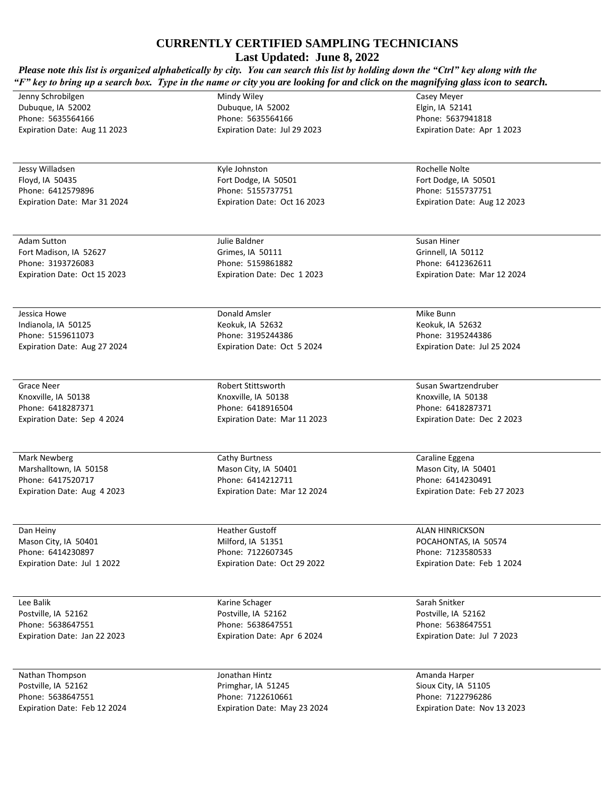## **CURRENTLY CERTIFIED SAMPLING TECHNICIANS**

**Last Updated: June 8, 2022**

| Please note this list is organized alphabetically by city. You can search this list by holding down the "Ctrl" key along with the<br>"F" key to bring up a search box. Type in the name or city you are looking for and click on the magnifying glass icon to search. |                                         |                                           |  |
|-----------------------------------------------------------------------------------------------------------------------------------------------------------------------------------------------------------------------------------------------------------------------|-----------------------------------------|-------------------------------------------|--|
| Jenny Schrobilgen                                                                                                                                                                                                                                                     | Mindy Wiley                             | Casey Meyer                               |  |
| Dubuque, IA 52002                                                                                                                                                                                                                                                     | Dubuque, IA 52002                       | Elgin, IA 52141                           |  |
| Phone: 5635564166                                                                                                                                                                                                                                                     | Phone: 5635564166                       | Phone: 5637941818                         |  |
| Expiration Date: Aug 11 2023                                                                                                                                                                                                                                          | Expiration Date: Jul 29 2023            | Expiration Date: Apr 1 2023               |  |
|                                                                                                                                                                                                                                                                       |                                         |                                           |  |
| Jessy Willadsen                                                                                                                                                                                                                                                       | Kyle Johnston                           | Rochelle Nolte                            |  |
| Floyd, IA 50435                                                                                                                                                                                                                                                       | Fort Dodge, IA 50501                    | Fort Dodge, IA 50501                      |  |
| Phone: 6412579896                                                                                                                                                                                                                                                     | Phone: 5155737751                       | Phone: 5155737751                         |  |
| Expiration Date: Mar 31 2024                                                                                                                                                                                                                                          | Expiration Date: Oct 16 2023            | Expiration Date: Aug 12 2023              |  |
| Adam Sutton                                                                                                                                                                                                                                                           | Julie Baldner                           | Susan Hiner                               |  |
| Fort Madison, IA 52627                                                                                                                                                                                                                                                | Grimes, IA 50111                        | Grinnell, IA 50112                        |  |
| Phone: 3193726083                                                                                                                                                                                                                                                     | Phone: 5159861882                       | Phone: 6412362611                         |  |
| Expiration Date: Oct 15 2023                                                                                                                                                                                                                                          | Expiration Date: Dec 1 2023             | Expiration Date: Mar 12 2024              |  |
| Jessica Howe                                                                                                                                                                                                                                                          | Donald Amsler                           | Mike Bunn                                 |  |
| Indianola, IA 50125                                                                                                                                                                                                                                                   | Keokuk, IA 52632                        | Keokuk, IA 52632                          |  |
| Phone: 5159611073                                                                                                                                                                                                                                                     | Phone: 3195244386                       | Phone: 3195244386                         |  |
| Expiration Date: Aug 27 2024                                                                                                                                                                                                                                          | Expiration Date: Oct 5 2024             | Expiration Date: Jul 25 2024              |  |
| Grace Neer                                                                                                                                                                                                                                                            | Robert Stittsworth                      | Susan Swartzendruber                      |  |
| Knoxville, IA 50138                                                                                                                                                                                                                                                   | Knoxville, IA 50138                     | Knoxville, IA 50138                       |  |
| Phone: 6418287371                                                                                                                                                                                                                                                     | Phone: 6418916504                       | Phone: 6418287371                         |  |
| Expiration Date: Sep 4 2024                                                                                                                                                                                                                                           | Expiration Date: Mar 11 2023            | Expiration Date: Dec 2 2023               |  |
| Mark Newberg                                                                                                                                                                                                                                                          | Cathy Burtness                          | Caraline Eggena                           |  |
| Marshalltown, IA 50158                                                                                                                                                                                                                                                | Mason City, IA 50401                    | Mason City, IA 50401                      |  |
| Phone: 6417520717                                                                                                                                                                                                                                                     | Phone: 6414212711                       | Phone: 6414230491                         |  |
| Expiration Date: Aug 4 2023                                                                                                                                                                                                                                           | Expiration Date: Mar 12 2024            | Expiration Date: Feb 27 2023              |  |
| Dan Heiny                                                                                                                                                                                                                                                             | <b>Heather Gustoff</b>                  | <b>ALAN HINRICKSON</b>                    |  |
| Mason City, IA 50401                                                                                                                                                                                                                                                  | Milford, IA 51351                       | POCAHONTAS, IA 50574                      |  |
| Phone: 6414230897                                                                                                                                                                                                                                                     | Phone: 7122607345                       | Phone: 7123580533                         |  |
| Expiration Date: Jul 1 2022                                                                                                                                                                                                                                           | Expiration Date: Oct 29 2022            | Expiration Date: Feb 1 2024               |  |
| Lee Balik                                                                                                                                                                                                                                                             | Karine Schager                          | Sarah Snitker                             |  |
| Postville, IA 52162                                                                                                                                                                                                                                                   | Postville, IA 52162                     | Postville, IA 52162                       |  |
| Phone: 5638647551                                                                                                                                                                                                                                                     | Phone: 5638647551                       | Phone: 5638647551                         |  |
| Expiration Date: Jan 22 2023                                                                                                                                                                                                                                          | Expiration Date: Apr 6 2024             | Expiration Date: Jul 7 2023               |  |
| Nathan Thompson                                                                                                                                                                                                                                                       | Jonathan Hintz                          | Amanda Harper                             |  |
| Postville, IA 52162<br>Phone: 5638647551                                                                                                                                                                                                                              | Primghar, IA 51245<br>Phone: 7122610661 | Sioux City, IA 51105<br>Phone: 7122796286 |  |
|                                                                                                                                                                                                                                                                       |                                         |                                           |  |
| Expiration Date: Feb 12 2024                                                                                                                                                                                                                                          | Expiration Date: May 23 2024            | Expiration Date: Nov 13 2023              |  |